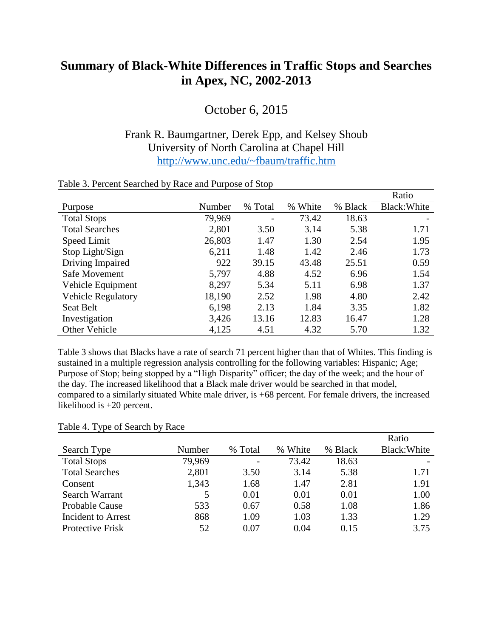## **Summary of Black-White Differences in Traffic Stops and Searches in Apex, NC, 2002-2013**

October 6, 2015

## Frank R. Baumgartner, Derek Epp, and Kelsey Shoub University of North Carolina at Chapel Hill <http://www.unc.edu/~fbaum/traffic.htm>

|                           |        |                          |            |         | Ratio        |
|---------------------------|--------|--------------------------|------------|---------|--------------|
| Purpose                   | Number | % Total                  | White<br>% | % Black | Black: White |
| <b>Total Stops</b>        | 79,969 | $\overline{\phantom{a}}$ | 73.42      | 18.63   |              |
| <b>Total Searches</b>     | 2,801  | 3.50                     | 3.14       | 5.38    | 1.71         |
| Speed Limit               | 26,803 | 1.47                     | 1.30       | 2.54    | 1.95         |
| Stop Light/Sign           | 6,211  | 1.48                     | 1.42       | 2.46    | 1.73         |
| Driving Impaired          | 922    | 39.15                    | 43.48      | 25.51   | 0.59         |
| Safe Movement             | 5,797  | 4.88                     | 4.52       | 6.96    | 1.54         |
| Vehicle Equipment         | 8,297  | 5.34                     | 5.11       | 6.98    | 1.37         |
| <b>Vehicle Regulatory</b> | 18,190 | 2.52                     | 1.98       | 4.80    | 2.42         |
| <b>Seat Belt</b>          | 6,198  | 2.13                     | 1.84       | 3.35    | 1.82         |
| Investigation             | 3,426  | 13.16                    | 12.83      | 16.47   | 1.28         |
| <b>Other Vehicle</b>      | 4,125  | 4.51                     | 4.32       | 5.70    | 1.32         |

## Table 3. Percent Searched by Race and Purpose of Stop

Table 3 shows that Blacks have a rate of search 71 percent higher than that of Whites. This finding is sustained in a multiple regression analysis controlling for the following variables: Hispanic; Age; Purpose of Stop; being stopped by a "High Disparity" officer; the day of the week; and the hour of the day. The increased likelihood that a Black male driver would be searched in that model, compared to a similarly situated White male driver, is +68 percent. For female drivers, the increased likelihood is +20 percent.

## Table 4. Type of Search by Race

|                           |        |         |         |         | Ratio        |
|---------------------------|--------|---------|---------|---------|--------------|
| Search Type               | Number | % Total | % White | % Black | Black: White |
| <b>Total Stops</b>        | 79,969 |         | 73.42   | 18.63   |              |
| <b>Total Searches</b>     | 2,801  | 3.50    | 3.14    | 5.38    | 1.71         |
| Consent                   | 1,343  | 1.68    | 1.47    | 2.81    | 1.91         |
| Search Warrant            | 5      | 0.01    | 0.01    | 0.01    | 1.00         |
| <b>Probable Cause</b>     | 533    | 0.67    | 0.58    | 1.08    | 1.86         |
| <b>Incident to Arrest</b> | 868    | 1.09    | 1.03    | 1.33    | 1.29         |
| Protective Frisk          | 52     | 0.07    | 0.04    | 0.15    | 3.75         |